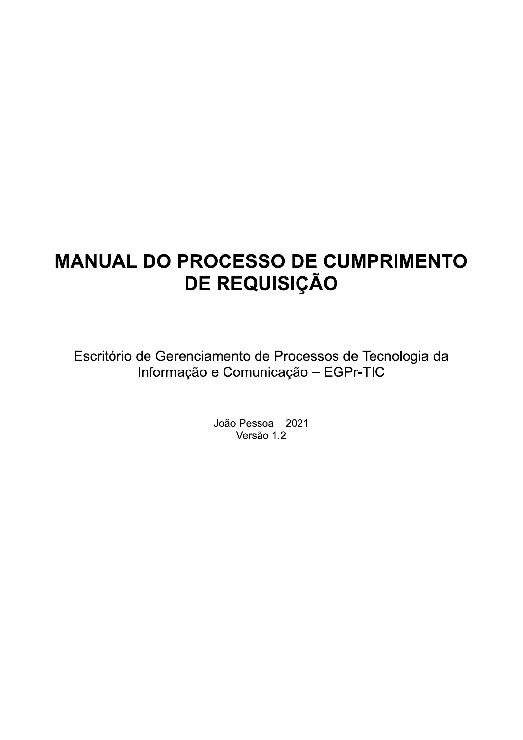# **MANUAL DO PROCESSO DE CUMPRIMENTO** DE REQUISIÇÃO

Escritório de Gerenciamento de Processos de Tecnologia da Informação e Comunicação - EGPr-TIC

> João Pessoa - 2021 Versão 1.2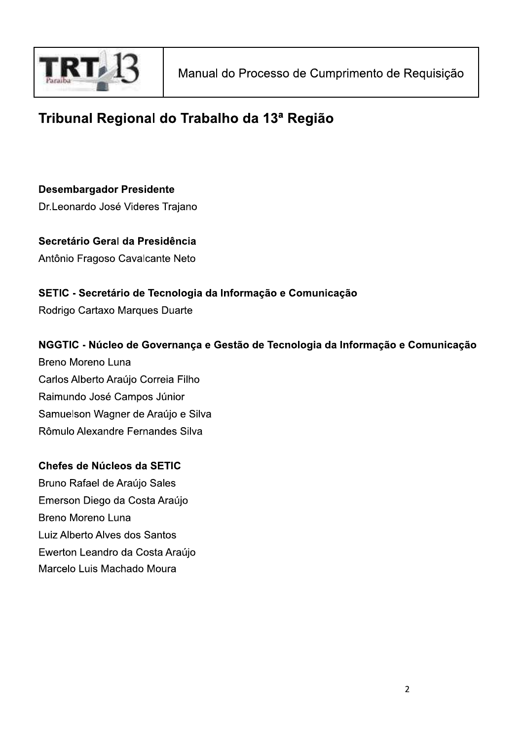

# Tribunal Regional do Trabalho da 13ª Região

# **Desembargador Presidente**

Dr.Leonardo José Videres Trajano

# Secretário Geral da Presidência Antônio Fragoso Cavalcante Neto

# SETIC - Secretário de Tecnologia da Informação e Comunicação

Rodrigo Cartaxo Marques Duarte

# NGGTIC - Núcleo de Governança e Gestão de Tecnologia da Informação e Comunicação

Breno Moreno Luna Carlos Alberto Araújo Correia Filho Raimundo José Campos Júnior Samuelson Wagner de Araújo e Silva Rômulo Alexandre Fernandes Silva

# Chefes de Núcleos da SETIC

Bruno Rafael de Araújo Sales Emerson Diego da Costa Araújo Breno Moreno Luna Luiz Alberto Alves dos Santos Ewerton Leandro da Costa Araújo Marcelo Luis Machado Moura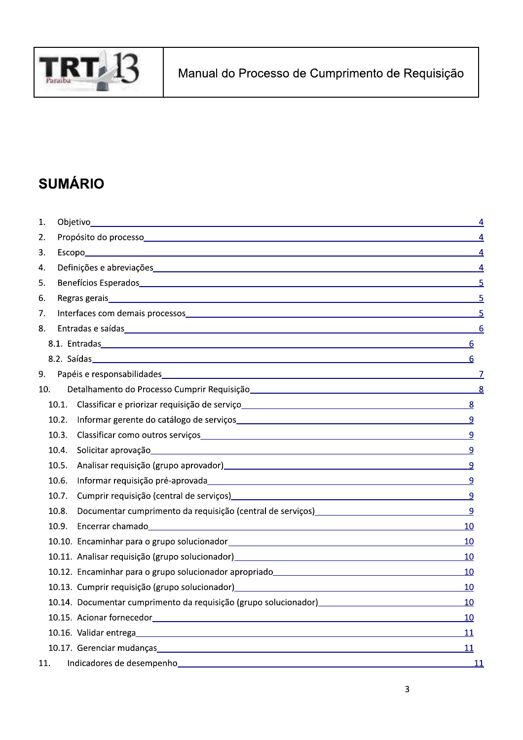

# **SUMÁRIO**

| 1.<br>Objetivo<br><u> 1989 - Johann John Stein, markin film yn y brening yn y brening yn y brening yn y brening y brening yn y bre</u>                                   |                                                                                                                              |
|--------------------------------------------------------------------------------------------------------------------------------------------------------------------------|------------------------------------------------------------------------------------------------------------------------------|
| 2.                                                                                                                                                                       |                                                                                                                              |
| 3.                                                                                                                                                                       | $\overline{4}$                                                                                                               |
| 4.                                                                                                                                                                       | $\overline{4}$                                                                                                               |
| 5.                                                                                                                                                                       |                                                                                                                              |
| 6.                                                                                                                                                                       | 5                                                                                                                            |
| 7.                                                                                                                                                                       |                                                                                                                              |
| 8.                                                                                                                                                                       | $6\phantom{1}6$                                                                                                              |
|                                                                                                                                                                          | 6                                                                                                                            |
|                                                                                                                                                                          | 6                                                                                                                            |
| 9.                                                                                                                                                                       |                                                                                                                              |
| 10.<br>Detalhamento do Processo Cumprir Requisição en al constituidade de la constitución de la constitución de la co                                                    | 8                                                                                                                            |
| Classificar e priorizar requisição de serviço<br><u>Classificar e priorizar requisição de serviço</u><br>10.1.                                                           | 8                                                                                                                            |
| Informar gerente do catálogo de serviços e contra a constructo de la constructo de la constructo de la constructo<br>10.2.                                               | -9                                                                                                                           |
| 10.3.                                                                                                                                                                    | 9                                                                                                                            |
| 10.4.                                                                                                                                                                    | 9                                                                                                                            |
| 10.5.                                                                                                                                                                    |                                                                                                                              |
| 10.6.                                                                                                                                                                    | 9                                                                                                                            |
| 10.7.                                                                                                                                                                    |                                                                                                                              |
| Documentar cumprimento da requisição (central de serviços)<br>9<br>10.8.                                                                                                 |                                                                                                                              |
| Encerrar chamado<br>10.9.                                                                                                                                                | <u> 1989 - Johann Stoff, deutscher Stoffen und der Stoffen und der Stoffen und der Stoffen und der Stoffen und der</u><br>10 |
| 10.10. Encaminhar para o grupo solucionador<br>10.10. Encaminhar para o grupo solucionador<br>10.10. Encaminhar para o grupo solucionador                                | 10                                                                                                                           |
| 10.11. Analisar requisição (grupo solucionador) [10] [2010] [2010] [2010] [2010] [2010] [2010] [2010] [2010] [                                                           | 10                                                                                                                           |
| 10.12. Encaminhar para o grupo solucionador apropriado<br>alternadores de la contrada de la contrada de la contrada de la contrada de la contrada de la contrada de la c | 10                                                                                                                           |
| 10.13. Cumprir requisição (grupo solucionador) [10] [2010] [2010] [2010] [2010] [2010] [2010] [2010] [2010] [                                                            | 10                                                                                                                           |
| 10.14. Documentar cumprimento da requisição (grupo solucionador) __________________________________                                                                      | 10                                                                                                                           |
|                                                                                                                                                                          | 10                                                                                                                           |
|                                                                                                                                                                          | <u> 11</u>                                                                                                                   |
| 10.17. Gerenciar mudanças et al. 2010 a.C. et al. 2010 a.C. et al. 2010 a.C. et al. 2010 a.C. et al. 2010 a.C.                                                           | 11                                                                                                                           |
| 11.                                                                                                                                                                      | <u> 11</u>                                                                                                                   |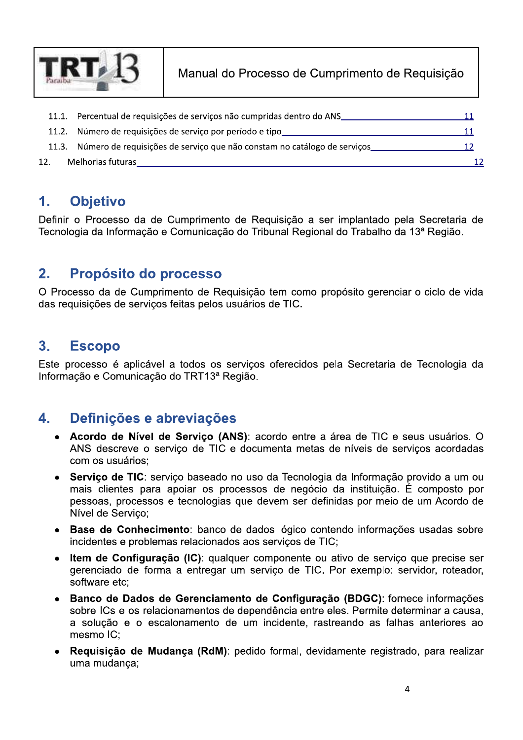

| 11.1. Percentual de requisições de serviços não cumpridas dentro do ANS        |  |
|--------------------------------------------------------------------------------|--|
| 11.2. Número de requisições de serviço por período e tipo                      |  |
| 11.3. Número de requisições de serviço que não constam no catálogo de serviços |  |
| Melhorias futuras                                                              |  |

# **Objetivo** 1.

Definir o Processo da de Cumprimento de Requisição a ser implantado pela Secretaria de Tecnologia da Informação e Comunicação do Tribunal Regional do Trabalho da 13ª Região.

# $2.$ **Propósito do processo**

O Processo da de Cumprimento de Requisição tem como propósito gerenciar o ciclo de vida das requisições de servicos feitas pelos usuários de TIC.

## $3.$ **Escopo**

Este processo é aplicável a todos os servicos oferecidos pela Secretaria de Tecnologia da Informação e Comunicação do TRT13ª Região.

# Definições e abreviações 4.

- Acordo de Nível de Serviço (ANS): acordo entre a área de TIC e seus usuários. O ANS descreve o servico de TIC e documenta metas de níveis de servicos acordadas com os usuários;
- Serviço de TIC: serviço baseado no uso da Tecnologia da Informação provido a um ou mais clientes para apoiar os processos de negócio da instituição. É composto por pessoas, processos e tecnologias que devem ser definidas por meio de um Acordo de Nível de Serviço;
- Base de Conhecimento: banco de dados lógico contendo informações usadas sobre incidentes e problemas relacionados aos serviços de TIC;
- Item de Configuração (IC): qualquer componente ou ativo de serviço que precise ser gerenciado de forma a entregar um serviço de TIC. Por exemplo: servidor, roteador, software etc:
- Banco de Dados de Gerenciamento de Configuração (BDGC): fornece informações sobre ICs e os relacionamentos de dependência entre eles. Permite determinar a causa, a solução e o escalonamento de um incidente, rastreando as falhas anteriores ao mesmo IC:
- Requisição de Mudança (RdM): pedido formal, devidamente registrado, para realizar uma mudanca: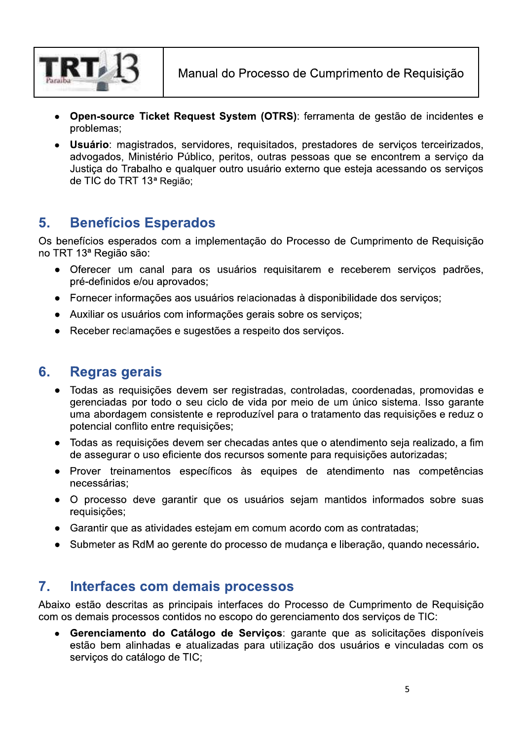

- Open-source Ticket Request System (OTRS): ferramenta de gestão de incidentes e problemas;
- Usuário: magistrados, servidores, requisitados, prestadores de serviços terceirizados, advogados, Ministério Público, peritos, outras pessoas que se encontrem a serviço da Justica do Trabalho e qualquer outro usuário externo que esteja acessando os serviços de TIC do TRT 13ª Região;

## **Benefícios Esperados** 5.

Os benefícios esperados com a implementação do Processo de Cumprimento de Requisição no TRT 13ª Região são:

- · Oferecer um canal para os usuários requisitarem e receberem serviços padrões, pré-definidos e/ou aprovados;
- Fornecer informações aos usuários relacionadas à disponibilidade dos serviços;
- Auxiliar os usuários com informações gerais sobre os serviços;  $\bullet$
- Receber reclamações e sugestões a respeito dos serviços.

## **Regras gerais** 6.

- Todas as requisições devem ser registradas, controladas, coordenadas, promovidas e  $\bullet$ gerenciadas por todo o seu ciclo de vida por meio de um único sistema. Isso garante uma abordagem consistente e reproduzível para o tratamento das requisições e reduz o potencial conflito entre requisições;
- Todas as requisicões devem ser checadas antes que o atendimento seja realizado, a fim de assegurar o uso eficiente dos recursos somente para requisições autorizadas;
- Prover treinamentos específicos às equipes de atendimento nas competências necessárias:
- O processo deve garantir que os usuários sejam mantidos informados sobre suas requisições;
- Garantir que as atividades estejam em comum acordo com as contratadas;
- Submeter as RdM ao gerente do processo de mudança e liberação, quando necessário.

# Interfaces com demais processos  $\mathbf{7}_{-}$

Abaixo estão descritas as principais interfaces do Processo de Cumprimento de Requisição com os demais processos contidos no escopo do gerenciamento dos serviços de TIC:

Gerenciamento do Catálogo de Servicos: garante que as solicitações disponíveis  $\bullet$ estão bem alinhadas e atualizadas para utilização dos usuários e vinculadas com os serviços do catálogo de TIC;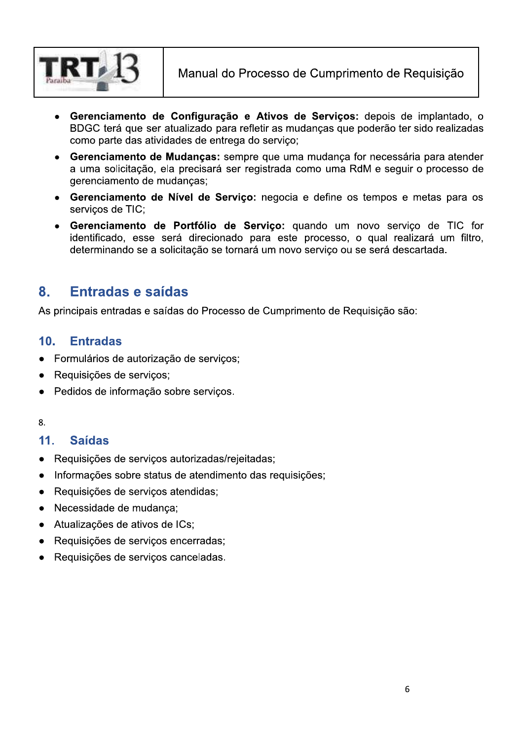

- Gerenciamento de Configuração e Ativos de Serviços: depois de implantado, o BDGC terá que ser atualizado para refletir as mudanças que poderão ter sido realizadas como parte das atividades de entrega do serviço;
- Gerenciamento de Mudanças: sempre que uma mudança for necessária para atender a uma solicitação, ela precisará ser registrada como uma RdM e seguir o processo de gerenciamento de mudanças;
- Gerenciamento de Nível de Serviço: negocia e define os tempos e metas para os serviços de TIC:
- Gerenciamento de Portfólio de Serviço: quando um novo serviço de TIC for identificado, esse será direcionado para este processo, o qual realizará um filtro, determinando se a solicitação se tornará um novo serviço ou se será descartada.

## Entradas e saídas 8.

As principais entradas e saídas do Processo de Cumprimento de Requisição são:

#### $10<sub>1</sub>$ **Entradas**

- Formulários de autorização de serviços;
- Requisições de serviços;
- Pedidos de informação sobre servicos.  $\bullet$

# 8.

#### $11.$ **Saídas**

- Requisições de servicos autorizadas/reieitadas:  $\bullet$
- Informações sobre status de atendimento das requisições;
- Requisições de serviços atendidas;  $\bullet$
- Necessidade de mudanca:
- Atualizações de ativos de ICs;
- Requisições de serviços encerradas;
- Requisições de serviços canceladas.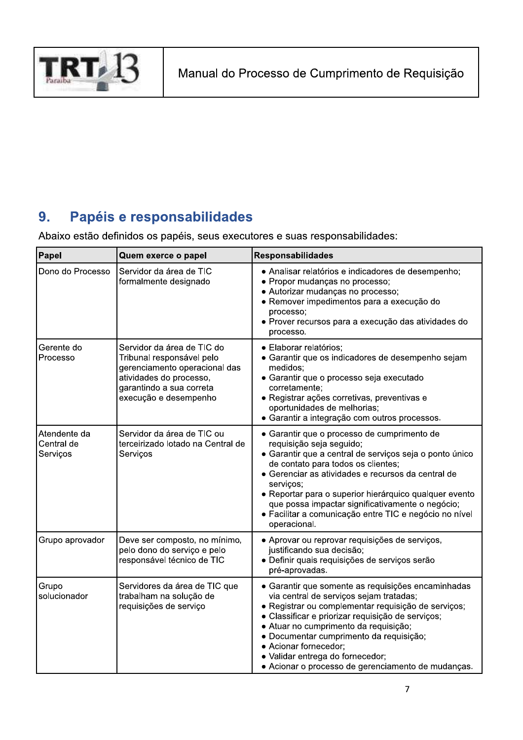

# Papéis e responsabilidades 9.

Abaixo estão definidos os papéis, seus executores e suas responsabilidades:

| Papel                                  | Quem exerce o papel                                                                                                                                                      | <b>Responsabilidades</b>                                                                                                                                                                                                                                                                                                                                                                                                            |
|----------------------------------------|--------------------------------------------------------------------------------------------------------------------------------------------------------------------------|-------------------------------------------------------------------------------------------------------------------------------------------------------------------------------------------------------------------------------------------------------------------------------------------------------------------------------------------------------------------------------------------------------------------------------------|
| Dono do Processo                       | Servidor da área de TIC<br>formalmente designado                                                                                                                         | • Analisar relatórios e indicadores de desempenho;<br>· Propor mudanças no processo;<br>· Autorizar mudanças no processo;<br>• Remover impedimentos para a execução do<br>processo;<br>· Prover recursos para a execução das atividades do<br>processo.                                                                                                                                                                             |
| Gerente do<br>Processo                 | Servidor da área de TIC do<br>Tribunal responsável pelo<br>gerenciamento operacional das<br>atividades do processo,<br>garantindo a sua correta<br>execução e desempenho | · Elaborar relatórios;<br>· Garantir que os indicadores de desempenho sejam<br>medidos:<br>· Garantir que o processo seja executado<br>corretamente;<br>· Registrar ações corretivas, preventivas e<br>oportunidades de melhorias;<br>· Garantir a integração com outros processos.                                                                                                                                                 |
| Atendente da<br>Central de<br>Serviços | Servidor da área de TIC ou<br>terceirizado lotado na Central de<br>Serviços                                                                                              | · Garantir que o processo de cumprimento de<br>requisição seja seguido;<br>• Garantir que a central de serviços seja o ponto único<br>de contato para todos os clientes;<br>• Gerenciar as atividades e recursos da central de<br>serviços;<br>• Reportar para o superior hierárquico qualquer evento<br>que possa impactar significativamente o negócio;<br>· Facilitar a comunicação entre TIC e negócio no nível<br>operacional. |
| Grupo aprovador                        | Deve ser composto, no mínimo,<br>pelo dono do serviço e pelo<br>responsável técnico de TIC                                                                               | · Aprovar ou reprovar requisições de serviços,<br>justificando sua decisão;<br>· Definir quais requisições de serviços serão<br>pré-aprovadas.                                                                                                                                                                                                                                                                                      |
| Grupo<br>solucionador                  | Servidores da área de TIC que<br>trabalham na solução de<br>requisições de serviço                                                                                       | • Garantir que somente as requisições encaminhadas<br>via central de serviços sejam tratadas;<br>· Registrar ou complementar requisição de serviços;<br>· Classificar e priorizar requisição de serviços;<br>· Atuar no cumprimento da requisição;<br>· Documentar cumprimento da requisição;<br>• Acionar fornecedor;<br>· Validar entrega do fornecedor;<br>• Acionar o processo de gerenciamento de mudanças.                    |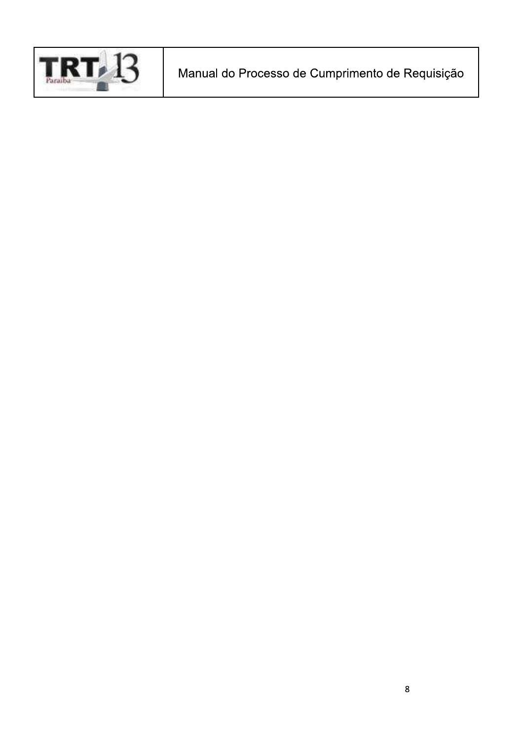

Manual do Processo de Cumprimento de Requisição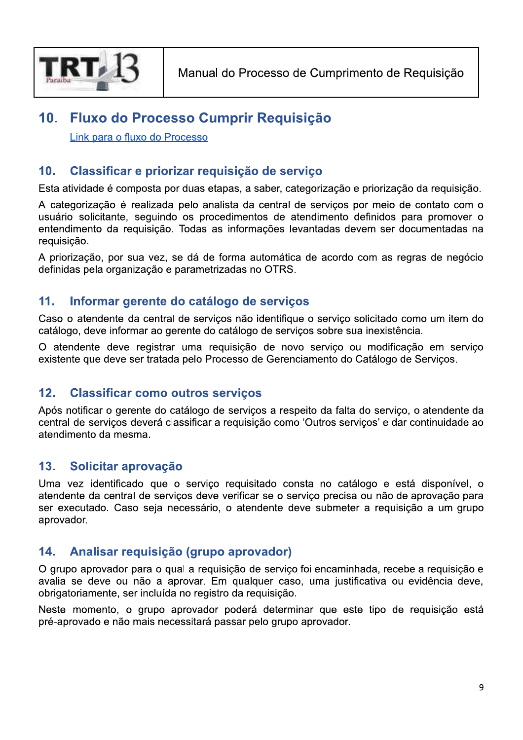

# Fluxo do Processo Cumprir Requisição  $10<sub>1</sub>$

Link para o fluxo do Processo

#### Classificar e priorizar requisição de serviço  $10.$

Esta atividade é composta por duas etapas, a saber, categorização e priorização da requisição.

A categorização é realizada pelo analista da central de serviços por meio de contato com o usuário solicitante, seguindo os procedimentos de atendimento definidos para promover o entendimento da reguisição. Todas as informações levantadas devem ser documentadas na requisição.

A priorização, por sua vez, se dá de forma automática de acordo com as regras de negócio definidas pela organização e parametrizadas no OTRS.

#### $11.$ Informar gerente do catálogo de serviços

Caso o atendente da central de serviços não identifique o serviço solicitado como um item do catálogo, deve informar ao gerente do catálogo de serviços sobre sua inexistência.

O atendente deve registrar uma reguisição de novo servico ou modificação em servico existente que deve ser tratada pelo Processo de Gerenciamento do Catálogo de Serviços.

#### $12.$ **Classificar como outros serviços**

Após notificar o gerente do catálogo de servicos a respeito da falta do servico, o atendente da central de serviços deverá classificar a requisição como 'Outros serviços' e dar continuidade ao atendimento da mesma.

#### $13.$ Solicitar aprovação

Uma vez identificado que o serviço requisitado consta no catálogo e está disponível, o atendente da central de servicos deve verificar se o servico precisa ou não de aprovação para ser executado. Caso seja necessário, o atendente deve submeter a requisição a um grupo aprovador.

#### 14. Analisar requisição (grupo aprovador)

O grupo aprovador para o qual a reguisição de serviço foi encaminhada, recebe a reguisição e avalia se deve ou não a aprovar. Em qualquer caso, uma justificativa ou evidência deve, obrigatoriamente, ser incluída no registro da reguisição.

Neste momento, o grupo aprovador poderá determinar que este tipo de requisição está pré-aprovado e não mais necessitará passar pelo grupo aprovador.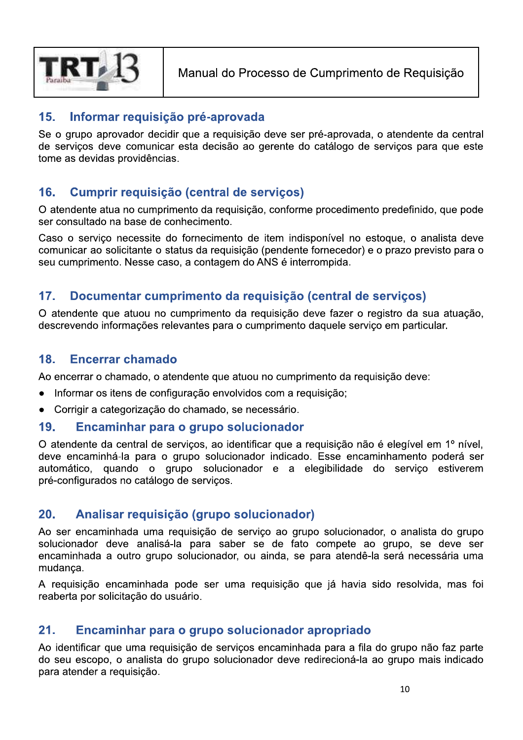

#### $15.$ Informar requisição pré-aprovada

Se o grupo aprovador decidir que a requisição deve ser pré-aprovada, o atendente da central de serviços deve comunicar esta decisão ao gerente do catálogo de serviços para que este tome as devidas providências.

#### 16. Cumprir requisição (central de serviços)

O atendente atua no cumprimento da requisição, conforme procedimento predefinido, que pode ser consultado na base de conhecimento.

Caso o serviço necessite do fornecimento de item indisponível no estoque, o analista deve comunicar ao solicitante o status da requisição (pendente fornecedor) e o prazo previsto para o seu cumprimento. Nesse caso, a contagem do ANS é interrompida.

#### $17<sub>1</sub>$ Documentar cumprimento da requisição (central de serviços)

O atendente que atuou no cumprimento da requisição deve fazer o registro da sua atuação. descrevendo informações relevantes para o cumprimento daquele serviço em particular.

#### 18. **Encerrar chamado**

Ao encerrar o chamado, o atendente que atuou no cumprimento da requisição deve:

- Informar os itens de configuração envolvidos com a requisição;
- Corrigir a categorização do chamado, se necessário.  $\bullet$

#### 19. Encaminhar para o grupo solucionador

O atendente da central de serviços, ao identificar que a requisição não é elegível em 1º nível, deve encaminhá-la para o grupo solucionador indicado. Esse encaminhamento poderá ser automático, quando o grupo solucionador e a elegibilidade do serviço estiverem pré-configurados no catálogo de serviços.

#### 20. Analisar requisição (grupo solucionador)

Ao ser encaminhada uma requisição de serviço ao grupo solucionador, o analista do grupo solucionador deve analisá-la para saber se de fato compete ao grupo, se deve ser encaminhada a outro grupo solucionador, ou ainda, se para atendê-la será necessária uma mudanca.

A requisição encaminhada pode ser uma requisição que já havia sido resolvida, mas foi reaberta por solicitação do usuário.

#### Encaminhar para o grupo solucionador apropriado  $21.$

Ao identificar que uma requisição de serviços encaminhada para a fila do grupo não faz parte do seu escopo, o analista do grupo solucionador deve redirecioná-la ao grupo mais indicado para atender a requisição.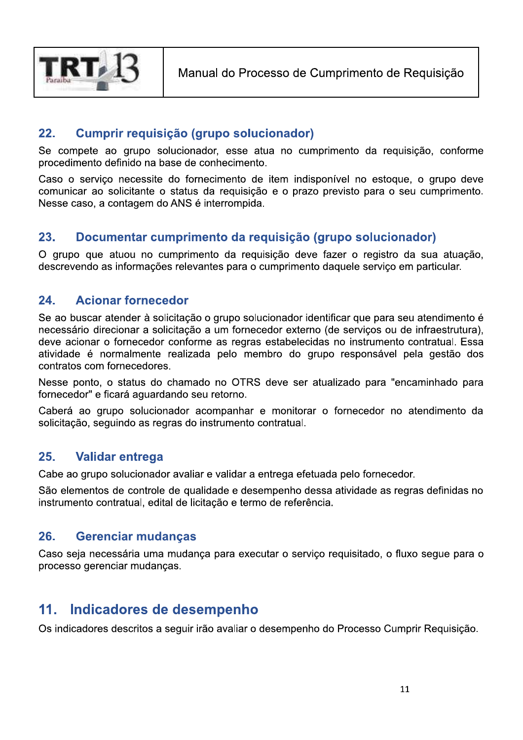

#### $22.$ Cumprir requisição (grupo solucionador)

Se compete ao grupo solucionador, esse atua no cumprimento da reguisição, conforme procedimento definido na base de conhecimento.

Caso o servico necessite do fornecimento de item indisponível no estogue, o grupo deve comunicar ao solicitante o status da requisição e o prazo previsto para o seu cumprimento. Nesse caso, a contagem do ANS é interrompida.

#### 23. Documentar cumprimento da requisição (grupo solucionador)

O grupo que atuou no cumprimento da requisição deve fazer o registro da sua atuação, descrevendo as informações relevantes para o cumprimento daquele servico em particular.

#### **Acionar fornecedor** 24.

Se ao buscar atender à solicitação o grupo solucionador identificar que para seu atendimento é necessário direcionar a solicitação a um fornecedor externo (de serviços ou de infraestrutura), deve acionar o fornecedor conforme as regras estabelecidas no instrumento contratual. Essa atividade é normalmente realizada pelo membro do grupo responsável pela gestão dos contratos com fornecedores.

Nesse ponto, o status do chamado no OTRS deve ser atualizado para "encaminhado para fornecedor" e ficará aguardando seu retorno.

Caberá ao grupo solucionador acompanhar e monitorar o fornecedor no atendimento da solicitação, seguindo as regras do instrumento contratual.

#### 25. **Validar entrega**

Cabe ao grupo solucionador avaliar e validar a entrega efetuada pelo fornecedor.

São elementos de controle de qualidade e desempenho dessa atividade as regras definidas no instrumento contratual, edital de licitação e termo de referência.

#### 26. **Gerenciar mudanças**

Caso seja necessária uma mudança para executar o serviço requisitado, o fluxo segue para o processo gerenciar mudanças.

## Indicadores de desempenho  $11.$

Os indicadores descritos a seguir irão avaliar o desempenho do Processo Cumprir Requisição.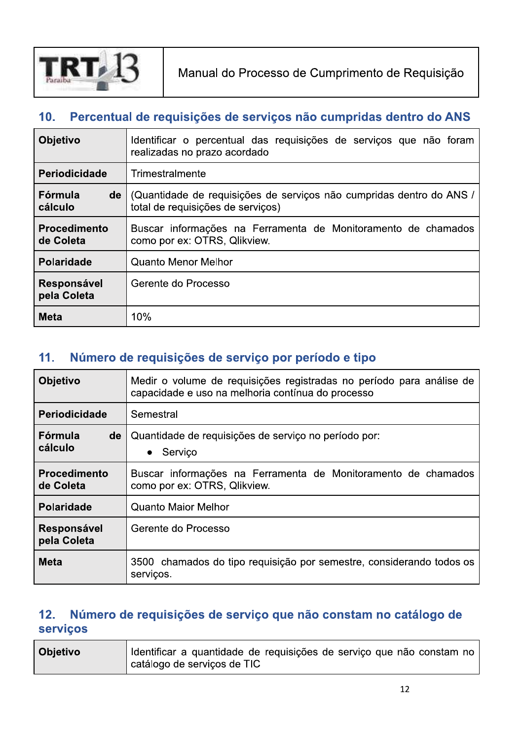

## Percentual de requisições de serviços não cumpridas dentro do ANS 10.

| <b>Objetivo</b>                  | Identificar o percentual das requisições de serviços que não foram<br>realizadas no prazo acordado        |
|----------------------------------|-----------------------------------------------------------------------------------------------------------|
| Periodicidade                    | Trimestralmente                                                                                           |
| Fórmula<br>de<br>cálculo         | (Quantidade de requisições de serviços não cumpridas dentro do ANS /<br>total de requisições de servicos) |
| <b>Procedimento</b><br>de Coleta | Buscar informações na Ferramenta de Monitoramento de chamados<br>como por ex: OTRS, Qlikview.             |
| Polaridade                       | <b>Quanto Menor Melhor</b>                                                                                |
| Responsável<br>pela Coleta       | Gerente do Processo                                                                                       |
| <b>Meta</b>                      | 10%                                                                                                       |

## Número de requisições de serviço por período e tipo  $11.$

| Objetivo                              | Medir o volume de requisições registradas no período para análise de<br>capacidade e uso na melhoria contínua do processo |
|---------------------------------------|---------------------------------------------------------------------------------------------------------------------------|
| <b>Periodicidade</b>                  | Semestral                                                                                                                 |
| Fórmula<br>de <sub>1</sub><br>cálculo | Quantidade de requisições de serviço no período por:<br>Serviço<br>$\bullet$                                              |
| <b>Procedimento</b><br>de Coleta      | Buscar informações na Ferramenta de Monitoramento de chamados<br>como por ex: OTRS, Qlikview.                             |
| <b>Polaridade</b>                     | <b>Quanto Major Melhor</b>                                                                                                |
| Responsável<br>pela Coleta            | Gerente do Processo                                                                                                       |
| <b>Meta</b>                           | 3500 chamados do tipo requisição por semestre, considerando todos os<br>serviços.                                         |

# $12.$ Número de requisições de serviço que não constam no catálogo de serviços

| Objetivo | I Identificar a quantidade de requisições de serviço que não constam no |
|----------|-------------------------------------------------------------------------|
|          | catálogo de serviços de TIC_                                            |